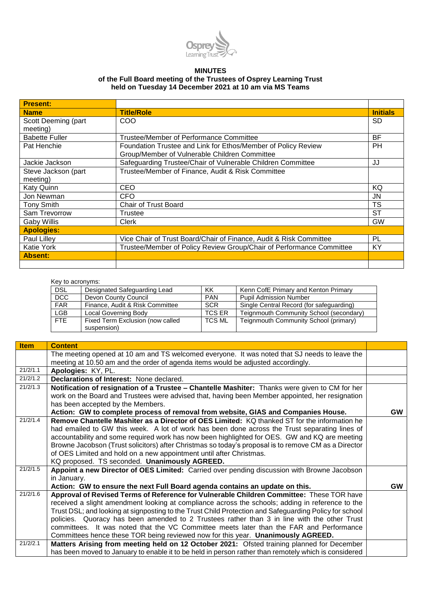

## **MINUTES**

## **of the Full Board meeting of the Trustees of Osprey Learning Trust held on Tuesday 14 December 2021 at 10 am via MS Teams**

| <b>Present:</b>       |                                                                      |                 |
|-----------------------|----------------------------------------------------------------------|-----------------|
| <b>Name</b>           | <b>Title/Role</b>                                                    | <b>Initials</b> |
| Scott Deeming (part   | COO                                                                  | <b>SD</b>       |
| meeting)              |                                                                      |                 |
| <b>Babette Fuller</b> | Trustee/Member of Performance Committee                              | <b>BF</b>       |
| Pat Henchie           | Foundation Trustee and Link for Ethos/Member of Policy Review        | PН              |
|                       | Group/Member of Vulnerable Children Committee                        |                 |
| Jackie Jackson        | Safeguarding Trustee/Chair of Vulnerable Children Committee          | JJ              |
| Steve Jackson (part   | Trustee/Member of Finance, Audit & Risk Committee                    |                 |
| meeting)              |                                                                      |                 |
| Katy Quinn            | <b>CEO</b>                                                           | KQ              |
| Jon Newman            | <b>CFO</b>                                                           | JN              |
| <b>Tony Smith</b>     | <b>Chair of Trust Board</b>                                          | <b>TS</b>       |
| Sam Trevorrow         | Trustee                                                              | SТ              |
| <b>Gaby Willis</b>    | Clerk                                                                | GW              |
| <b>Apologies:</b>     |                                                                      |                 |
| <b>Paul Lillev</b>    | Vice Chair of Trust Board/Chair of Finance, Audit & Risk Committee   | PL              |
| Katie York            | Trustee/Member of Policy Review Group/Chair of Performance Committee | KY              |
| <b>Absent:</b>        |                                                                      |                 |
|                       |                                                                      |                 |

## Key to acronyms:

| <b>DSL</b> | Designated Safeguarding Lead     | ΚK            | Kenn CofE Primary and Kenton Primary     |
|------------|----------------------------------|---------------|------------------------------------------|
| DCC        | Devon County Council             | <b>PAN</b>    | <b>Pupil Admission Number</b>            |
| <b>FAR</b> | Finance, Audit & Risk Committee  | <b>SCR</b>    | Single Central Record (for safeguarding) |
| <b>LGB</b> | Local Governing Body             | <b>TCS ER</b> | Teignmouth Community School (secondary)  |
| <b>FTE</b> | Fixed Term Exclusion (now called | <b>TCS ML</b> | Teignmouth Community School (primary)    |
|            | suspension)                      |               |                                          |

| <b>Item</b> | <b>Content</b>                                                                                         |           |
|-------------|--------------------------------------------------------------------------------------------------------|-----------|
|             | The meeting opened at 10 am and TS welcomed everyone. It was noted that SJ needs to leave the          |           |
|             | meeting at 10.50 am and the order of agenda items would be adjusted accordingly.                       |           |
| 21/2/1.1    | Apologies: KY, PL.                                                                                     |           |
| 21/2/1.2    | Declarations of Interest: None declared.                                                               |           |
| 21/2/1.3    | Notification of resignation of a Trustee - Chantelle Mashiter: Thanks were given to CM for her         |           |
|             | work on the Board and Trustees were advised that, having been Member appointed, her resignation        |           |
|             | has been accepted by the Members.                                                                      |           |
|             | Action: GW to complete process of removal from website, GIAS and Companies House.                      | <b>GW</b> |
| 21/2/1.4    | Remove Chantelle Mashiter as a Director of OES Limited: KQ thanked ST for the information he           |           |
|             | had emailed to GW this week. A lot of work has been done across the Trust separating lines of          |           |
|             | accountability and some required work has now been highlighted for OES. GW and KQ are meeting          |           |
|             | Browne Jacobson (Trust solicitors) after Christmas so today's proposal is to remove CM as a Director   |           |
|             | of OES Limited and hold on a new appointment until after Christmas.                                    |           |
|             | KQ proposed. TS seconded. Unanimously AGREED.                                                          |           |
| 21/2/1.5    | Appoint a new Director of OES Limited: Carried over pending discussion with Browne Jacobson            |           |
|             | in January.                                                                                            |           |
|             | Action: GW to ensure the next Full Board agenda contains an update on this.                            | <b>GW</b> |
| 21/2/1.6    | Approval of Revised Terms of Reference for Vulnerable Children Committee: These TOR have               |           |
|             | received a slight amendment looking at compliance across the schools; adding in reference to the       |           |
|             | Trust DSL; and looking at signposting to the Trust Child Protection and Safeguarding Policy for school |           |
|             | policies. Quoracy has been amended to 2 Trustees rather than 3 in line with the other Trust            |           |
|             | committees. It was noted that the VC Committee meets later than the FAR and Performance                |           |
|             | Committees hence these TOR being reviewed now for this year. Unanimously AGREED.                       |           |
| 21/2/2.1    | Matters Arising from meeting held on 12 October 2021: Ofsted training planned for December             |           |
|             | has been moved to January to enable it to be held in person rather than remotely which is considered   |           |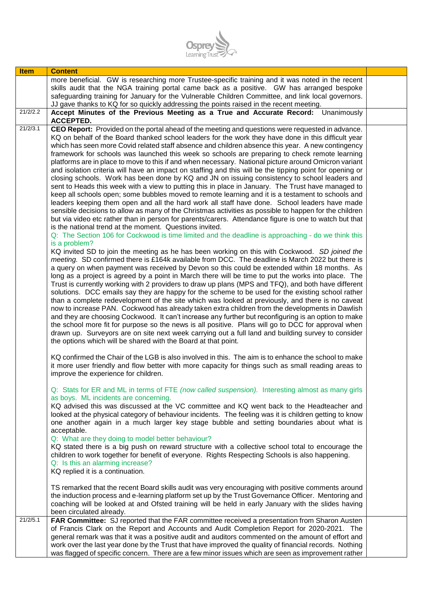

| <b>Item</b> | <b>Content</b>                                                                                                                                                                                             |  |
|-------------|------------------------------------------------------------------------------------------------------------------------------------------------------------------------------------------------------------|--|
|             | more beneficial. GW is researching more Trustee-specific training and it was noted in the recent                                                                                                           |  |
|             | skills audit that the NGA training portal came back as a positive. GW has arranged bespoke                                                                                                                 |  |
|             | safeguarding training for January for the Vulnerable Children Committee, and link local governors.                                                                                                         |  |
| 21/2/2.2    | JJ gave thanks to KQ for so quickly addressing the points raised in the recent meeting.<br>Accept Minutes of the Previous Meeting as a True and Accurate Record: Unanimously                               |  |
|             | <b>ACCEPTED.</b>                                                                                                                                                                                           |  |
| 21/2/3.1    | CEO Report: Provided on the portal ahead of the meeting and questions were requested in advance.                                                                                                           |  |
|             | KQ on behalf of the Board thanked school leaders for the work they have done in this difficult year                                                                                                        |  |
|             | which has seen more Covid related staff absence and children absence this year. A new contingency<br>framework for schools was launched this week so schools are preparing to check remote learning        |  |
|             | platforms are in place to move to this if and when necessary. National picture around Omicron variant                                                                                                      |  |
|             | and isolation criteria will have an impact on staffing and this will be the tipping point for opening or                                                                                                   |  |
|             | closing schools. Work has been done by KQ and JN on issuing consistency to school leaders and                                                                                                              |  |
|             | sent to Heads this week with a view to putting this in place in January. The Trust have managed to                                                                                                         |  |
|             | keep all schools open; some bubbles moved to remote learning and it is a testament to schools and                                                                                                          |  |
|             | leaders keeping them open and all the hard work all staff have done. School leaders have made                                                                                                              |  |
|             | sensible decisions to allow as many of the Christmas activities as possible to happen for the children                                                                                                     |  |
|             | but via video etc rather than in person for parents/carers. Attendance figure is one to watch but that<br>is the national trend at the moment. Questions invited.                                          |  |
|             | Q: The Section 106 for Cockwood is time limited and the deadline is approaching - do we think this                                                                                                         |  |
|             | is a problem?                                                                                                                                                                                              |  |
|             | KQ invited SD to join the meeting as he has been working on this with Cockwood. SD joined the                                                                                                              |  |
|             | meeting. SD confirmed there is £164k available from DCC. The deadline is March 2022 but there is                                                                                                           |  |
|             | a query on when payment was received by Devon so this could be extended within 18 months. As                                                                                                               |  |
|             | long as a project is agreed by a point in March there will be time to put the works into place. The<br>Trust is currently working with 2 providers to draw up plans (MPS and TFQ), and both have different |  |
|             | solutions. DCC emails say they are happy for the scheme to be used for the existing school rather                                                                                                          |  |
|             | than a complete redevelopment of the site which was looked at previously, and there is no caveat                                                                                                           |  |
|             | now to increase PAN. Cockwood has already taken extra children from the developments in Dawlish                                                                                                            |  |
|             | and they are choosing Cockwood. It can't increase any further but reconfiguring is an option to make                                                                                                       |  |
|             | the school more fit for purpose so the news is all positive. Plans will go to DCC for approval when                                                                                                        |  |
|             | drawn up. Surveyors are on site next week carrying out a full land and building survey to consider<br>the options which will be shared with the Board at that point.                                       |  |
|             |                                                                                                                                                                                                            |  |
|             | KQ confirmed the Chair of the LGB is also involved in this. The aim is to enhance the school to make                                                                                                       |  |
|             | it more user friendly and flow better with more capacity for things such as small reading areas to                                                                                                         |  |
|             | improve the experience for children.                                                                                                                                                                       |  |
|             | Q: Stats for ER and ML in terms of FTE (now called suspension). Interesting almost as many girls                                                                                                           |  |
|             | as boys. ML incidents are concerning.                                                                                                                                                                      |  |
|             | KQ advised this was discussed at the VC committee and KQ went back to the Headteacher and                                                                                                                  |  |
|             | looked at the physical category of behaviour incidents. The feeling was it is children getting to know                                                                                                     |  |
|             | one another again in a much larger key stage bubble and setting boundaries about what is                                                                                                                   |  |
|             | acceptable.                                                                                                                                                                                                |  |
|             | Q: What are they doing to model better behaviour?<br>KQ stated there is a big push on reward structure with a collective school total to encourage the                                                     |  |
|             | children to work together for benefit of everyone. Rights Respecting Schools is also happening.                                                                                                            |  |
|             | Q: Is this an alarming increase?                                                                                                                                                                           |  |
|             | KQ replied it is a continuation.                                                                                                                                                                           |  |
|             |                                                                                                                                                                                                            |  |
|             | TS remarked that the recent Board skills audit was very encouraging with positive comments around<br>the induction process and e-learning platform set up by the Trust Governance Officer. Mentoring and   |  |
|             | coaching will be looked at and Ofsted training will be held in early January with the slides having                                                                                                        |  |
|             | been circulated already.                                                                                                                                                                                   |  |
| 21/2/5.1    | FAR Committee: SJ reported that the FAR committee received a presentation from Sharon Austen                                                                                                               |  |
|             | of Francis Clark on the Report and Accounts and Audit Completion Report for 2020-2021. The                                                                                                                 |  |
|             | general remark was that it was a positive audit and auditors commented on the amount of effort and                                                                                                         |  |
|             | work over the last year done by the Trust that have improved the quality of financial records. Nothing                                                                                                     |  |
|             | was flagged of specific concern. There are a few minor issues which are seen as improvement rather                                                                                                         |  |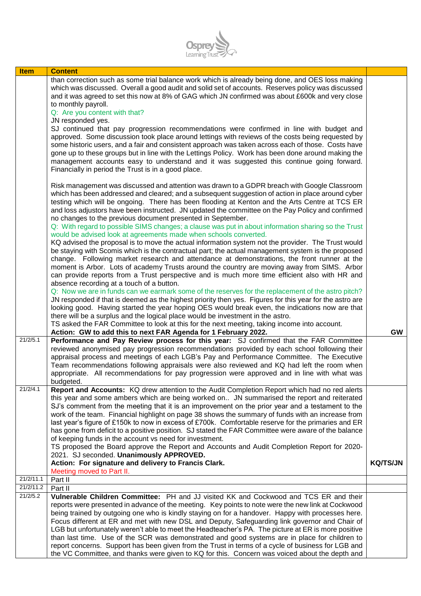

| <b>Item</b> | <b>Content</b>                                                                                                                                                                                                                                                                                                                                                                                                                                                                                                                                               |                 |
|-------------|--------------------------------------------------------------------------------------------------------------------------------------------------------------------------------------------------------------------------------------------------------------------------------------------------------------------------------------------------------------------------------------------------------------------------------------------------------------------------------------------------------------------------------------------------------------|-----------------|
|             | than correction such as some trial balance work which is already being done, and OES loss making<br>which was discussed. Overall a good audit and solid set of accounts. Reserves policy was discussed<br>and it was agreed to set this now at 8% of GAG which JN confirmed was about £600k and very close                                                                                                                                                                                                                                                   |                 |
|             | to monthly payroll.<br>Q: Are you content with that?<br>JN responded yes.                                                                                                                                                                                                                                                                                                                                                                                                                                                                                    |                 |
|             | SJ continued that pay progression recommendations were confirmed in line with budget and<br>approved. Some discussion took place around lettings with reviews of the costs being requested by<br>some historic users, and a fair and consistent approach was taken across each of those. Costs have<br>gone up to these groups but in line with the Lettings Policy. Work has been done around making the<br>management accounts easy to understand and it was suggested this continue going forward.<br>Financially in period the Trust is in a good place. |                 |
|             | Risk management was discussed and attention was drawn to a GDPR breach with Google Classroom<br>which has been addressed and cleared; and a subsequent suggestion of action in place around cyber<br>testing which will be ongoing. There has been flooding at Kenton and the Arts Centre at TCS ER<br>and loss adjustors have been instructed. JN updated the committee on the Pay Policy and confirmed<br>no changes to the previous document presented in September.                                                                                      |                 |
|             | Q: With regard to possible SIMS changes; a clause was put in about information sharing so the Trust<br>would be advised look at agreements made when schools converted.<br>KQ advised the proposal is to move the actual information system not the provider. The Trust would                                                                                                                                                                                                                                                                                |                 |
|             | be staying with Scomis which is the contractual part; the actual management system is the proposed<br>change. Following market research and attendance at demonstrations, the front runner at the<br>moment is Arbor. Lots of academy Trusts around the country are moving away from SIMS. Arbor<br>can provide reports from a Trust perspective and is much more time efficient also with HR and                                                                                                                                                            |                 |
|             | absence recording at a touch of a button.<br>Q: Now we are in funds can we earmark some of the reserves for the replacement of the astro pitch?<br>JN responded if that is deemed as the highest priority then yes. Figures for this year for the astro are                                                                                                                                                                                                                                                                                                  |                 |
|             | looking good. Having started the year hoping OES would break even, the indications now are that<br>there will be a surplus and the logical place would be investment in the astro.                                                                                                                                                                                                                                                                                                                                                                           |                 |
|             | TS asked the FAR Committee to look at this for the next meeting, taking income into account.<br>Action: GW to add this to next FAR Agenda for 1 February 2022.                                                                                                                                                                                                                                                                                                                                                                                               | <b>GW</b>       |
| 21/2/5.1    | Performance and Pay Review process for this year: SJ confirmed that the FAR Committee<br>reviewed anonymised pay progression recommendations provided by each school following their<br>appraisal process and meetings of each LGB's Pay and Performance Committee. The Executive<br>Team recommendations following appraisals were also reviewed and KQ had left the room when                                                                                                                                                                              |                 |
|             | appropriate. All recommendations for pay progression were approved and in line with what was<br>budgeted.                                                                                                                                                                                                                                                                                                                                                                                                                                                    |                 |
| 21/2/4.1    | Report and Accounts: KQ drew attention to the Audit Completion Report which had no red alerts<br>this year and some ambers which are being worked on JN summarised the report and reiterated<br>SJ's comment from the meeting that it is an improvement on the prior year and a testament to the                                                                                                                                                                                                                                                             |                 |
|             | work of the team. Financial highlight on page 38 shows the summary of funds with an increase from<br>last year's figure of £150k to now in excess of £700k. Comfortable reserve for the primaries and ER<br>has gone from deficit to a positive position. SJ stated the FAR Committee were aware of the balance                                                                                                                                                                                                                                              |                 |
|             | of keeping funds in the account vs need for investment.<br>TS proposed the Board approve the Report and Accounts and Audit Completion Report for 2020-<br>2021. SJ seconded. Unanimously APPROVED.                                                                                                                                                                                                                                                                                                                                                           |                 |
|             | Action: For signature and delivery to Francis Clark.<br>Meeting moved to Part II.                                                                                                                                                                                                                                                                                                                                                                                                                                                                            | <b>KQ/TS/JN</b> |
| 21/2/11.1   | Part II                                                                                                                                                                                                                                                                                                                                                                                                                                                                                                                                                      |                 |
| 21/2/11.2   | Part II                                                                                                                                                                                                                                                                                                                                                                                                                                                                                                                                                      |                 |
| 21/2/5.2    | Vulnerable Children Committee: PH and JJ visited KK and Cockwood and TCS ER and their                                                                                                                                                                                                                                                                                                                                                                                                                                                                        |                 |
|             | reports were presented in advance of the meeting. Key points to note were the new link at Cockwood                                                                                                                                                                                                                                                                                                                                                                                                                                                           |                 |
|             | being trained by outgoing one who is kindly staying on for a handover. Happy with processes here.                                                                                                                                                                                                                                                                                                                                                                                                                                                            |                 |
|             | Focus different at ER and met with new DSL and Deputy, Safeguarding link governor and Chair of<br>LGB but unfortunately weren't able to meet the Headteacher's PA. The picture at ER is more positive                                                                                                                                                                                                                                                                                                                                                        |                 |
|             | than last time. Use of the SCR was demonstrated and good systems are in place for children to                                                                                                                                                                                                                                                                                                                                                                                                                                                                |                 |
|             | report concerns. Support has been given from the Trust in terms of a cycle of business for LGB and                                                                                                                                                                                                                                                                                                                                                                                                                                                           |                 |
|             | the VC Committee, and thanks were given to KQ for this. Concern was voiced about the depth and                                                                                                                                                                                                                                                                                                                                                                                                                                                               |                 |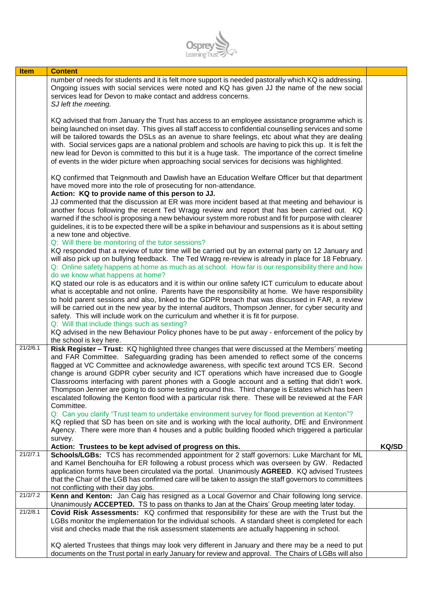

| <b>Item</b> | <b>Content</b>                                                                                                                                                                                                                                                                                                                                                                                                                                                                                                                                                                                                                                                                                                        |              |
|-------------|-----------------------------------------------------------------------------------------------------------------------------------------------------------------------------------------------------------------------------------------------------------------------------------------------------------------------------------------------------------------------------------------------------------------------------------------------------------------------------------------------------------------------------------------------------------------------------------------------------------------------------------------------------------------------------------------------------------------------|--------------|
|             | number of needs for students and it is felt more support is needed pastorally which KQ is addressing.<br>Ongoing issues with social services were noted and KQ has given JJ the name of the new social<br>services lead for Devon to make contact and address concerns.<br>SJ left the meeting.                                                                                                                                                                                                                                                                                                                                                                                                                       |              |
|             | KQ advised that from January the Trust has access to an employee assistance programme which is<br>being launched on inset day. This gives all staff access to confidential counselling services and some<br>will be tailored towards the DSLs as an avenue to share feelings, etc about what they are dealing<br>with. Social services gaps are a national problem and schools are having to pick this up. It is felt the<br>new lead for Devon is committed to this but it is a huge task. The importance of the correct timeline<br>of events in the wider picture when approaching social services for decisions was highlighted.                                                                                  |              |
|             | KQ confirmed that Teignmouth and Dawlish have an Education Welfare Officer but that department<br>have moved more into the role of prosecuting for non-attendance.<br>Action: KQ to provide name of this person to JJ.                                                                                                                                                                                                                                                                                                                                                                                                                                                                                                |              |
|             | JJ commented that the discussion at ER was more incident based at that meeting and behaviour is<br>another focus following the recent Ted Wragg review and report that has been carried out. KQ<br>warned if the school is proposing a new behaviour system more robust and fit for purpose with clearer<br>guidelines, it is to be expected there will be a spike in behaviour and suspensions as it is about setting<br>a new tone and objective.                                                                                                                                                                                                                                                                   |              |
|             | Q: Will there be monitoring of the tutor sessions?<br>KQ responded that a review of tutor time will be carried out by an external party on 12 January and<br>will also pick up on bullying feedback. The Ted Wragg re-review is already in place for 18 February.<br>Q: Online safety happens at home as much as at school. How far is our responsibility there and how<br>do we know what happens at home?                                                                                                                                                                                                                                                                                                           |              |
|             | KQ stated our role is as educators and it is within our online safety ICT curriculum to educate about<br>what is acceptable and not online. Parents have the responsibility at home. We have responsibility<br>to hold parent sessions and also, linked to the GDPR breach that was discussed in FAR, a review<br>will be carried out in the new year by the internal auditors, Thompson Jenner, for cyber security and<br>safety. This will include work on the curriculum and whether it is fit for purpose.<br>Q: Will that include things such as sexting?                                                                                                                                                        |              |
|             | KQ advised in the new Behaviour Policy phones have to be put away - enforcement of the policy by<br>the school is key here.                                                                                                                                                                                                                                                                                                                                                                                                                                                                                                                                                                                           |              |
| 21/2/6.1    | Risk Register - Trust: KQ highlighted three changes that were discussed at the Members' meeting<br>and FAR Committee. Safeguarding grading has been amended to reflect some of the concerns<br>flagged at VC Committee and acknowledge awareness, with specific text around TCS ER. Second<br>change is around GDPR cyber security and ICT operations which have increased due to Google<br>Classrooms interfacing with parent phones with a Google account and a setting that didn't work.<br>Thompson Jenner are going to do some testing around this. Third change is Estates which has been<br>escalated following the Kenton flood with a particular risk there. These will be reviewed at the FAR<br>Committee. |              |
|             | Q: Can you clarify "Trust team to undertake environment survey for flood prevention at Kenton"?<br>KQ replied that SD has been on site and is working with the local authority, DfE and Environment<br>Agency. There were more than 4 houses and a public building flooded which triggered a particular<br>survey.                                                                                                                                                                                                                                                                                                                                                                                                    |              |
|             | Action: Trustees to be kept advised of progress on this.                                                                                                                                                                                                                                                                                                                                                                                                                                                                                                                                                                                                                                                              | <b>KQ/SD</b> |
| 21/2/7.1    | Schools/LGBs: TCS has recommended appointment for 2 staff governors: Luke Marchant for ML<br>and Kamel Benchouiha for ER following a robust process which was overseen by GW. Redacted<br>application forms have been circulated via the portal. Unanimously AGREED. KQ advised Trustees<br>that the Chair of the LGB has confirmed care will be taken to assign the staff governors to committees<br>not conflicting with their day jobs.                                                                                                                                                                                                                                                                            |              |
| 21/2/7.2    | Kenn and Kenton: Jan Caig has resigned as a Local Governor and Chair following long service.<br>Unanimously ACCEPTED. TS to pass on thanks to Jan at the Chairs' Group meeting later today.                                                                                                                                                                                                                                                                                                                                                                                                                                                                                                                           |              |
| 21/2/8.1    | Covid Risk Assessments: KQ confirmed that responsibility for these are with the Trust but the<br>LGBs monitor the implementation for the individual schools. A standard sheet is completed for each                                                                                                                                                                                                                                                                                                                                                                                                                                                                                                                   |              |
|             | visit and checks made that the risk assessment statements are actually happening in school.<br>KQ alerted Trustees that things may look very different in January and there may be a need to put                                                                                                                                                                                                                                                                                                                                                                                                                                                                                                                      |              |
|             | documents on the Trust portal in early January for review and approval. The Chairs of LGBs will also                                                                                                                                                                                                                                                                                                                                                                                                                                                                                                                                                                                                                  |              |